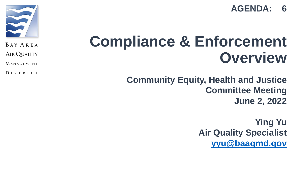



BAY AREA

AIR QUALITY

MANAGEMENT

**DISTRICT** 

## **Compliance & Enforcement Overview**

**Community Equity, Health and Justice Committee Meeting June 2, 2022**

> **Ying Yu Air Quality Specialist [yyu@baaqmd.gov](mailto:yyu@baaqmd.gov)**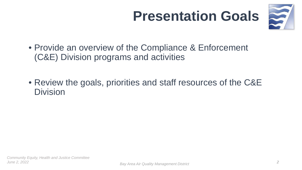## **Presentation Goals**



- Provide an overview of the Compliance & Enforcement (C&E) Division programs and activities
- Review the goals, priorities and staff resources of the C&E Division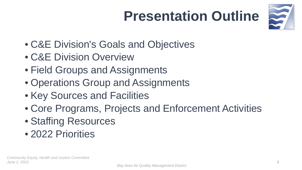## **Presentation Outline**



- C&E Division's Goals and Objectives
- C&E Division Overview
- Field Groups and Assignments
- Operations Group and Assignments
- Key Sources and Facilities
- Core Programs, Projects and Enforcement Activities
- Staffing Resources
- 2022 Priorities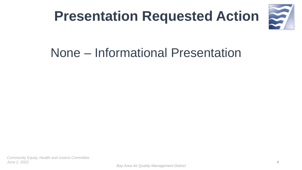



### None – Informational Presentation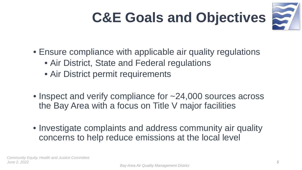## **C&E Goals and Objectives**



- Ensure compliance with applicable air quality regulations
	- Air District, State and Federal regulations
	- Air District permit requirements
- Inspect and verify compliance for ~24,000 sources across the Bay Area with a focus on Title V major facilities
- Investigate complaints and address community air quality concerns to help reduce emissions at the local level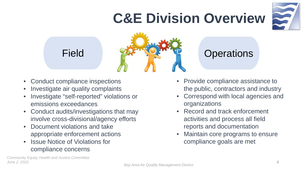## **C&E Division Overview**





- Conduct compliance inspections
- Investigate air quality complaints
- Investigate "self-reported" violations or emissions exceedances
- Conduct audits/investigations that may involve cross-divisional/agency efforts
- Document violations and take appropriate enforcement actions
- **Issue Notice of Violations for** compliance concerns
- Provide compliance assistance to the public, contractors and industry
- Correspond with local agencies and organizations
- Record and track enforcement activities and process all field reports and documentation
- Maintain core programs to ensure compliance goals are met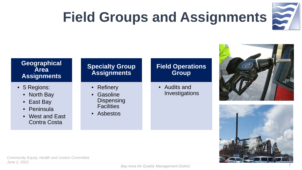## **Field Groups and Assignments**



#### **Geographical Area Assignments**

- 5 Regions:
	- North Bay
	- East Bay
	- Peninsula
	- West and East Contra Costa

#### **Specialty Group Assignments**

- Refinery
- **Gasoline** Dispensing **Facilities**
- Asbestos

#### **Field Operations Group**

• Audits and Investigations



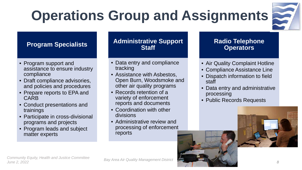## **Operations Group and Assignments**



#### **Program Specialists**

- Program support and assistance to ensure industry compliance
- Draft compliance advisories, and policies and procedures
- Prepare reports to EPA and CARB
- Conduct presentations and trainings
- Participate in cross-divisional programs and projects
- Program leads and subject matter experts

#### **Administrative Support Staff**

- Data entry and compliance tracking
- Assistance with Asbestos, Open Burn, Woodsmoke and other air quality programs
- Records retention of a variety of enforcement reports and documents
- Coordination with other divisions
- Administrative review and processing of enforcement reports

#### **Radio Telephone Operators**

- Air Quality Complaint Hotline
- Compliance Assistance Line
- Dispatch information to field staff
- Data entry and administrative processing
- Public Records Requests



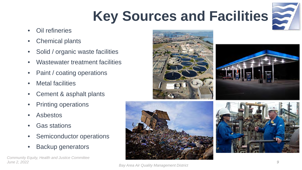## **Key Sources and Facilities**



- Oil refineries
- Chemical plants
- Solid / organic waste facilities
- Wastewater treatment facilities
- Paint / coating operations
- **Metal facilities**
- Cement & asphalt plants
- Printing operations
- Asbestos
- Gas stations
- Semiconductor operations
- Backup generators

*Community Equity, Health and Justice Committee June 2, 2022 9*









*Bay Area Air Quality Management District*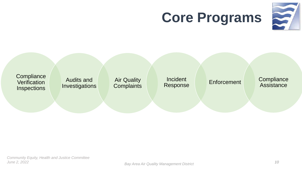## **Core Programs**



**Compliance Verification Inspections** 

Audits and Investigations

Air Quality **Complaints**  Incident<br>Response

Enforcement Compliance Assistance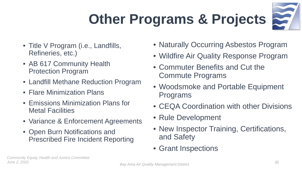## **Other Programs & Projects**



- Title V Program (i.e., Landfills, Refineries, etc.)
- AB 617 Community Health Protection Program
- Landfill Methane Reduction Program
- Flare Minimization Plans
- Emissions Minimization Plans for Metal Facilities
- Variance & Enforcement Agreements
- Open Burn Notifications and Prescribed Fire Incident Reporting
- Naturally Occurring Asbestos Program
- Wildfire Air Quality Response Program
- Commuter Benefits and Cut the Commute Programs
- Woodsmoke and Portable Equipment Programs
- CEQA Coordination with other Divisions
- Rule Development
- New Inspector Training, Certifications, and Safety
- Grant Inspections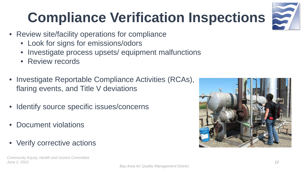## **Compliance Verification Inspections**

- Review site/facility operations for compliance
	- Look for signs for emissions/odors
	- Investigate process upsets/ equipment malfunctions
	- Review records
- Investigate Reportable Compliance Activities (RCAs), flaring events, and Title V deviations
- Identify source specific issues/concerns
- Document violations
- Verify corrective actions



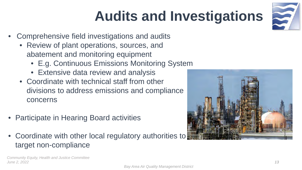## **Audits and Investigations**

3

- Comprehensive field investigations and audits
	- Review of plant operations, sources, and abatement and monitoring equipment
		- E.g. Continuous Emissions Monitoring System
		- Extensive data review and analysis
	- Coordinate with technical staff from other divisions to address emissions and compliance concerns
- Participate in Hearing Board activities
- Coordinate with other local regulatory authorities to target non-compliance

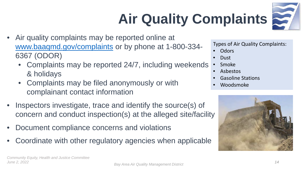# **Air Quality Complaints**



- Air quality complaints may be reported online at [www.baaqmd.gov/complaints](http://www.baaqmd.gov/complaints) or by phone at 1-800-334- 6367 (ODOR)
	- Complaints may be reported 24/7, including weekends & holidays
	- Complaints may be filed anonymously or with complainant contact information
- Inspectors investigate, trace and identify the source(s) of concern and conduct inspection(s) at the alleged site/facility
- Document compliance concerns and violations
- Coordinate with other regulatory agencies when applicable

Types of Air Quality Complaints:

**Odors** 

- Dust
- Smoke
- Asbestos
- Gasoline Stations
- Woodsmoke

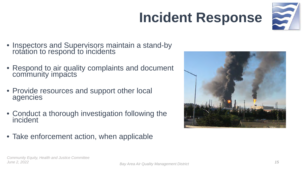## **Incident Response**



- Inspectors and Supervisors maintain a stand-by rotation to respond to incidents
- Respond to air quality complaints and document community impacts
- Provide resources and support other local agencies
- Conduct a thorough investigation following the incident
- Take enforcement action, when applicable

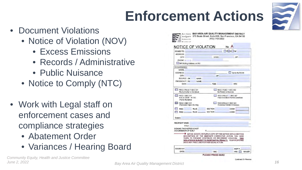## **Enforcement Actions**



- Document Violations
	- Notice of Violation (NOV)
		- Excess Emissions
		- Records / Administrative
		- Public Nuisance
	- Notice to Comply (NTC)
- Work with Legal staff on enforcement cases and compliance strategies
	- Abatement Order
	- Variances / Hearing Board

| NOTICE OF VIOLATION                                                                                                          |                  |                                         |                                                                                                                                                                                                                                                 |
|------------------------------------------------------------------------------------------------------------------------------|------------------|-----------------------------------------|-------------------------------------------------------------------------------------------------------------------------------------------------------------------------------------------------------------------------------------------------|
| <b>ISSUED TO:</b>                                                                                                            |                  |                                         | $\Box$ P $\Box$ G $\Box$ N#                                                                                                                                                                                                                     |
| ADDRESS:                                                                                                                     |                  |                                         |                                                                                                                                                                                                                                                 |
| CITY:                                                                                                                        |                  | STATE:                                  | ZIP                                                                                                                                                                                                                                             |
| PHONE: (                                                                                                                     |                  |                                         |                                                                                                                                                                                                                                                 |
| N# Mailing Address on F61                                                                                                    |                  |                                         |                                                                                                                                                                                                                                                 |
| <b>OCCURRENCE</b>                                                                                                            |                  |                                         |                                                                                                                                                                                                                                                 |
| NAME:                                                                                                                        |                  |                                         |                                                                                                                                                                                                                                                 |
| ADDRESS:                                                                                                                     |                  |                                         | Same As Above                                                                                                                                                                                                                                   |
| CITY:                                                                                                                        |                  | ZIP                                     |                                                                                                                                                                                                                                                 |
| SOURCE: S#                                                                                                                   | NAME:            |                                         |                                                                                                                                                                                                                                                 |
| EMISSION PT: P# NAME:                                                                                                        |                  |                                         |                                                                                                                                                                                                                                                 |
| DATE:                                                                                                                        |                  | TIME:                                   | <b>HRS</b>                                                                                                                                                                                                                                      |
| REG 2 RULE 1 SEC 301<br>No Authority to Construct<br>REG 1 SEC 301<br>H & S CODE - 41700<br>Public Nuisance<br>REG 5 SEC 301 |                  |                                         | REG 2 RULE 1 SEC 302<br>No Permit to Operate<br>REG 2 RULE __ SEC 307<br>Failure to Meet Permit Condition<br>REG 6 RULE 1 SEC 301                                                                                                               |
| Prohibited Open Burning                                                                                                      |                  |                                         | <b>Excessive Visible Emissions</b>                                                                                                                                                                                                              |
| REG                                                                                                                          | RULE SECTION     |                                         | CODE                                                                                                                                                                                                                                            |
|                                                                                                                              | REG RULE SECTION |                                         | CODE                                                                                                                                                                                                                                            |
| Details:                                                                                                                     |                  |                                         |                                                                                                                                                                                                                                                 |
| <b>RECIPIENT NAME:</b><br>TITLE:<br>SIGNING THIS NOTICE IS NOT<br>AN ADMISSION OF GUILT                                      |                  | $X -$                                   |                                                                                                                                                                                                                                                 |
|                                                                                                                              |                  | DOES NOT PRECLUDE FURTHER LEGAL ACTION. | WITHIN 10 DAYS, RETURN A COPY OF THIS NOTICE WITH A WRITTEN<br>DESCRIPTION OF THE IMMEDIATE CORRECTIVE ACTION YOU HAVE<br>TAKEN TO PREVENT CONTINUED OR RECURRENT VIOLATION. THIS<br>VIOLATION IS SUBJECT TO SUBSTANTIAL PENALTY, YOUR RESPONSE |
|                                                                                                                              |                  |                                         |                                                                                                                                                                                                                                                 |
| <b>ISSUED BY:</b>                                                                                                            |                  |                                         | INSP#                                                                                                                                                                                                                                           |

Continued On Revers

*Community Equity, Health and Justice Committee*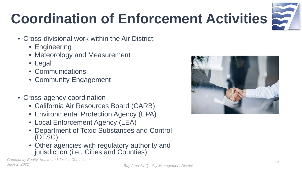## **Coordination of Enforcement Activities**



- Cross-divisional work within the Air District:
	- Engineering
	- Meteorology and Measurement
	- Legal
	- Communications
	- Community Engagement
- Cross-agency coordination
	- California Air Resources Board (CARB)
	- Environmental Protection Agency (EPA)
	- Local Enforcement Agency (LEA)
	- Department of Toxic Substances and Control (DTSC)
	- Other agencies with regulatory authority and jurisdiction (i.e., Cities and Counties)

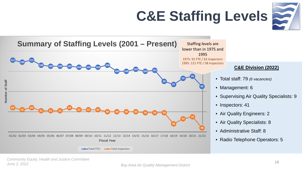## **C&E Staffing Levels**





Total FTE's **Total Inspectors** 

#### **C&E Division (2022)**

- Total staff: 79 *(6 vacancies)*
- Management: 6
- Supervising Air Quality Specialists: 9
- Inspectors: 41
- Air Quality Engineers: 2
- Air Quality Specialists: 8
- Administrative Staff: 8
- Radio Telephone Operators: 5

*Bay Area Air Quality Management District June 2, 2022 <sup>18</sup>Community Equity, Health and Justice Committee*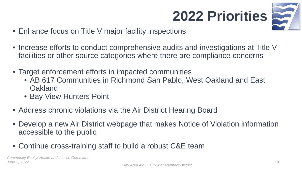



- Enhance focus on Title V major facility inspections
- Increase efforts to conduct comprehensive audits and investigations at Title V facilities or other source categories where there are compliance concerns
- Target enforcement efforts in impacted communities
	- AB 617 Communities in Richmond San Pablo, West Oakland and East **Oakland**
	- Bay View Hunters Point
- Address chronic violations via the Air District Hearing Board
- Develop a new Air District webpage that makes Notice of Violation information accessible to the public
- Continue cross-training staff to build a robust C&E team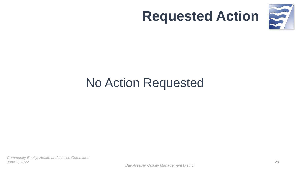

### **Requested Action**

## No Action Requested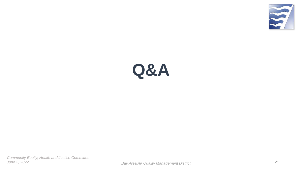

## **Q&A**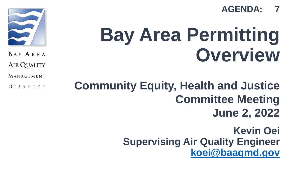

# **Bay Area Permitting Overview**

BAY AREA

**AIR QUALITY** 

MANAGEMENT

DISTRICT

### **Community Equity, Health and Justice Committee Meeting June 2, 2022**

**Kevin Oei Supervising Air Quality Engineer [koei@baaqmd.gov](mailto:koei@baaqmd.gov)**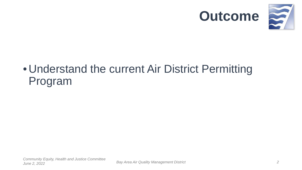



### • Understand the current Air District Permitting Program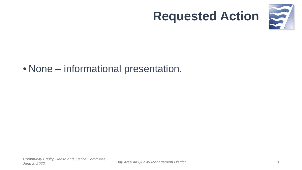

### **Requested Action**

#### • None – informational presentation.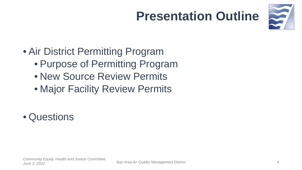## **Presentation Outline**



- Air District Permitting Program
	- Purpose of Permitting Program
	- New Source Review Permits
	- Major Facility Review Permits
- Questions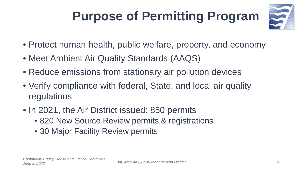## **Purpose of Permitting Program**



- Protect human health, public welfare, property, and economy
- Meet Ambient Air Quality Standards (AAQS)
- Reduce emissions from stationary air pollution devices
- Verify compliance with federal, State, and local air quality regulations
- In 2021, the Air District issued: 850 permits
	- 820 New Source Review permits & registrations
	- 30 Major Facility Review permits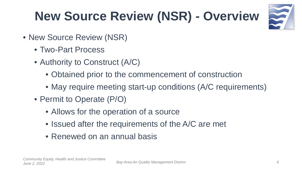## **New Source Review (NSR) - Overview**



- New Source Review (NSR)
	- Two-Part Process
	- Authority to Construct (A/C)
		- Obtained prior to the commencement of construction
		- May require meeting start-up conditions (A/C requirements)
	- Permit to Operate (P/O)
		- Allows for the operation of a source
		- Issued after the requirements of the A/C are met
		- Renewed on an annual basis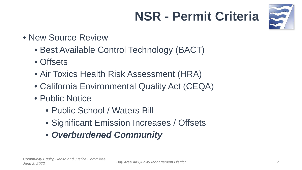## **NSR - Permit Criteria**



- New Source Review
	- Best Available Control Technology (BACT)
	- Offsets
	- Air Toxics Health Risk Assessment (HRA)
	- California Environmental Quality Act (CEQA)
	- Public Notice
		- Public School / Waters Bill
		- Significant Emission Increases / Offsets
		- *Overburdened Community*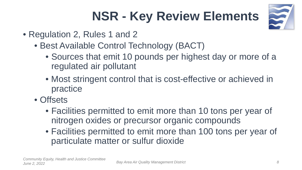## **NSR - Key Review Elements**



- Regulation 2, Rules 1 and 2
	- Best Available Control Technology (BACT)
		- Sources that emit 10 pounds per highest day or more of a regulated air pollutant
		- Most stringent control that is cost-effective or achieved in practice
	- Offsets
		- Facilities permitted to emit more than 10 tons per year of nitrogen oxides or precursor organic compounds
		- Facilities permitted to emit more than 100 tons per year of particulate matter or sulfur dioxide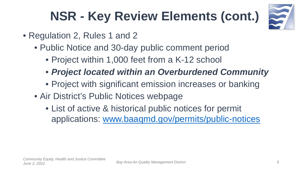

- Regulation 2, Rules 1 and 2
	- Public Notice and 30-day public comment period
		- Project within 1,000 feet from a K-12 school
		- *Project located within an Overburdened Community*
		- Project with significant emission increases or banking
	- Air District's Public Notices webpage
		- List of active & historical public notices for permit applications: [www.baaqmd.gov/permits/public-notices](http://www.baaqmd.gov/permits/public-notices)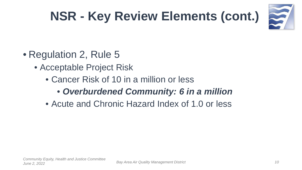

- Regulation 2, Rule 5
	- Acceptable Project Risk
		- Cancer Risk of 10 in a million or less
			- *Overburdened Community: 6 in a million*
		- Acute and Chronic Hazard Index of 1.0 or less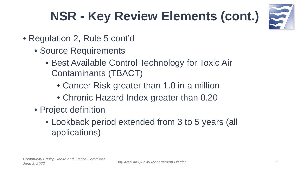

- Regulation 2, Rule 5 cont'd
	- Source Requirements
		- Best Available Control Technology for Toxic Air Contaminants (TBACT)
			- Cancer Risk greater than 1.0 in a million
			- Chronic Hazard Index greater than 0.20
	- Project definition
		- Lookback period extended from 3 to 5 years (all applications)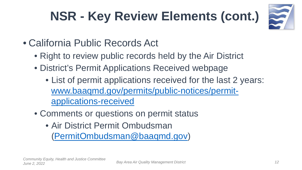

- California Public Records Act
	- Right to review public records held by the Air District
	- District's Permit Applications Received webpage
		- List of permit applications received for the last 2 years: [www.baaqmd.gov/permits/public-notices/permit](http://www.baaqmd.gov/permits/public-notices/permit-applications-received)applications-received
	- Comments or questions on permit status
		- Air District Permit Ombudsman [\(PermitOmbudsman@baaqmd.gov\)](mailto:PermitOmbudsman@baaqmd.gov)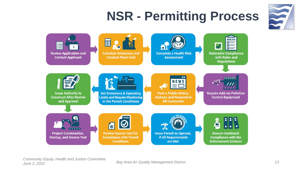## **NSR - Permitting Process**





*Bay Area Air Quality Management District June 2, 2022 13Community Equity, Health and Justice Committee*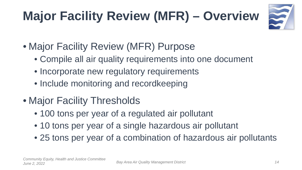## **Major Facility Review (MFR) – Overview**



- Major Facility Review (MFR) Purpose
	- Compile all air quality requirements into one document
	- Incorporate new regulatory requirements
	- Include monitoring and recordkeeping
- Major Facility Thresholds
	- 100 tons per year of a regulated air pollutant
	- 10 tons per year of a single hazardous air pollutant
	- 25 tons per year of a combination of hazardous air pollutants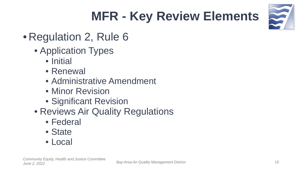## **MFR - Key Review Elements**



### • Regulation 2, Rule 6

- Application Types
	- Initial
	- Renewal
	- Administrative Amendment
	- Minor Revision
	- Significant Revision
- Reviews Air Quality Regulations
	- Federal
	- State
	- Local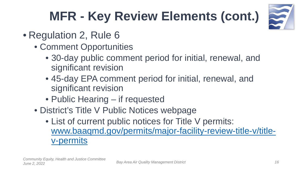

- Regulation 2, Rule 6
	- Comment Opportunities
		- 30-day public comment period for initial, renewal, and significant revision
		- 45-day EPA comment period for initial, renewal, and significant revision
		- Public Hearing if requested
	- District's Title V Public Notices webpage
		- List of current public notices for Title V permits: [www.baaqmd.gov/permits/major-facility-review-title-v/title](http://www.baaqmd.gov/permits/major-facility-review-title-v/title-v-permits)v-permits